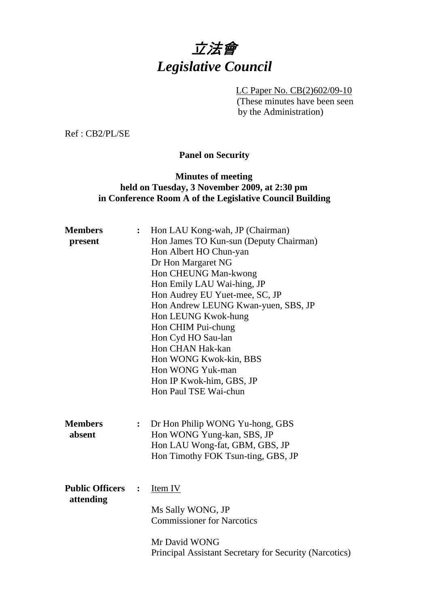# 立法會 *Legislative Council*

LC Paper No. CB(2)602/09-10 (These minutes have been seen by the Administration)

Ref : CB2/PL/SE

# **Panel on Security**

## **Minutes of meeting held on Tuesday, 3 November 2009, at 2:30 pm in Conference Room A of the Legislative Council Building**

| <b>Members</b><br>present           | $\ddot{\cdot}$ | Hon LAU Kong-wah, JP (Chairman)<br>Hon James TO Kun-sun (Deputy Chairman)<br>Hon Albert HO Chun-yan<br>Dr Hon Margaret NG<br>Hon CHEUNG Man-kwong<br>Hon Emily LAU Wai-hing, JP<br>Hon Audrey EU Yuet-mee, SC, JP<br>Hon Andrew LEUNG Kwan-yuen, SBS, JP<br>Hon LEUNG Kwok-hung<br>Hon CHIM Pui-chung<br>Hon Cyd HO Sau-lan<br>Hon CHAN Hak-kan<br>Hon WONG Kwok-kin, BBS<br>Hon WONG Yuk-man<br>Hon IP Kwok-him, GBS, JP<br>Hon Paul TSE Wai-chun |
|-------------------------------------|----------------|----------------------------------------------------------------------------------------------------------------------------------------------------------------------------------------------------------------------------------------------------------------------------------------------------------------------------------------------------------------------------------------------------------------------------------------------------|
| <b>Members</b><br>absent            | :              | Dr Hon Philip WONG Yu-hong, GBS<br>Hon WONG Yung-kan, SBS, JP<br>Hon LAU Wong-fat, GBM, GBS, JP<br>Hon Timothy FOK Tsun-ting, GBS, JP                                                                                                                                                                                                                                                                                                              |
| <b>Public Officers</b><br>attending | :              | Item IV<br>Ms Sally WONG, JP<br><b>Commissioner for Narcotics</b><br>Mr David WONG<br>Principal Assistant Secretary for Security (Narcotics)                                                                                                                                                                                                                                                                                                       |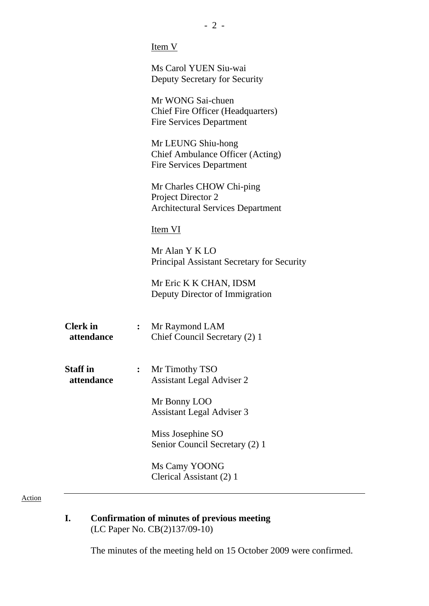|                               |                | Item V                                                                                           |
|-------------------------------|----------------|--------------------------------------------------------------------------------------------------|
|                               |                | Ms Carol YUEN Siu-wai<br>Deputy Secretary for Security                                           |
|                               |                | Mr WONG Sai-chuen<br><b>Chief Fire Officer (Headquarters)</b><br><b>Fire Services Department</b> |
|                               |                | Mr LEUNG Shiu-hong<br><b>Chief Ambulance Officer (Acting)</b><br><b>Fire Services Department</b> |
|                               |                | Mr Charles CHOW Chi-ping<br>Project Director 2<br><b>Architectural Services Department</b>       |
|                               |                | Item VI                                                                                          |
|                               |                | Mr Alan Y K LO<br>Principal Assistant Secretary for Security                                     |
|                               |                | Mr Eric K K CHAN, IDSM<br>Deputy Director of Immigration                                         |
| <b>Clerk</b> in<br>attendance | $\ddot{\cdot}$ | Mr Raymond LAM<br>Chief Council Secretary (2) 1                                                  |
| <b>Staff</b> in<br>attendance | :              | Mr Timothy TSO<br><b>Assistant Legal Adviser 2</b>                                               |
|                               |                | Mr Bonny LOO<br><b>Assistant Legal Adviser 3</b>                                                 |
|                               |                | Miss Josephine SO<br>Senior Council Secretary (2) 1                                              |
|                               |                | Ms Camy YOONG<br>Clerical Assistant (2) 1                                                        |

Action

**I. Confirmation of minutes of previous meeting**  (LC Paper No. CB(2)137/09-10)

The minutes of the meeting held on 15 October 2009 were confirmed.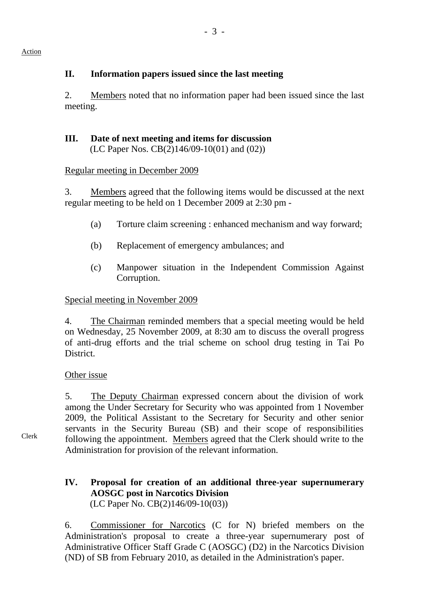# **II. Information papers issued since the last meeting**

2. Members noted that no information paper had been issued since the last meeting.

#### **III. Date of next meeting and items for discussion**  (LC Paper Nos. CB(2)146/09-10(01) and (02))

#### Regular meeting in December 2009

3. Members agreed that the following items would be discussed at the next regular meeting to be held on 1 December 2009 at 2:30 pm -

- (a) Torture claim screening : enhanced mechanism and way forward;
- (b) Replacement of emergency ambulances; and
- (c) Manpower situation in the Independent Commission Against Corruption.

## Special meeting in November 2009

4. The Chairman reminded members that a special meeting would be held on Wednesday, 25 November 2009, at 8:30 am to discuss the overall progress of anti-drug efforts and the trial scheme on school drug testing in Tai Po **District** 

## Other issue

5. The Deputy Chairman expressed concern about the division of work among the Under Secretary for Security who was appointed from 1 November 2009, the Political Assistant to the Secretary for Security and other senior servants in the Security Bureau (SB) and their scope of responsibilities following the appointment. Members agreed that the Clerk should write to the Administration for provision of the relevant information.

#### **IV. Proposal for creation of an additional three-year supernumerary AOSGC post in Narcotics Division**  (LC Paper No. CB(2)146/09-10(03))

6. Commissioner for Narcotics (C for N) briefed members on the Administration's proposal to create a three-year supernumerary post of Administrative Officer Staff Grade C (AOSGC) (D2) in the Narcotics Division (ND) of SB from February 2010, as detailed in the Administration's paper.

Clerk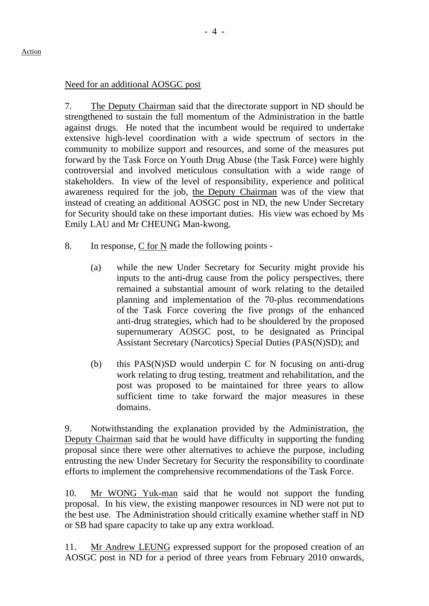# Need for an additional AOSGC post

7. The Deputy Chairman said that the directorate support in ND should be strengthened to sustain the full momentum of the Administration in the battle against drugs. He noted that the incumbent would be required to undertake extensive high-level coordination with a wide spectrum of sectors in the community to mobilize support and resources, and some of the measures put forward by the Task Force on Youth Drug Abuse (the Task Force) were highly controversial and involved meticulous consultation with a wide range of stakeholders. In view of the level of responsibility, experience and political awareness required for the job, the Deputy Chairman was of the view that instead of creating an additional AOSGC post in ND, the new Under Secretary for Security should take on these important duties. His view was echoed by Ms Emily LAU and Mr CHEUNG Man-kwong.

- 8. In response, C for N made the following points
	- (a) while the new Under Secretary for Security might provide his inputs to the anti-drug cause from the policy perspectives, there remained a substantial amount of work relating to the detailed planning and implementation of the 70-plus recommendations of the Task Force covering the five prongs of the enhanced anti-drug strategies, which had to be shouldered by the proposed supernumerary AOSGC post, to be designated as Principal Assistant Secretary (Narcotics) Special Duties (PAS(N)SD); and
	- (b) this PAS(N)SD would underpin C for N focusing on anti-drug work relating to drug testing, treatment and rehabilitation, and the post was proposed to be maintained for three years to allow sufficient time to take forward the major measures in these domains.

9. Notwithstanding the explanation provided by the Administration, the Deputy Chairman said that he would have difficulty in supporting the funding proposal since there were other alternatives to achieve the purpose, including entrusting the new Under Secretary for Security the responsibility to coordinate efforts to implement the comprehensive recommendations of the Task Force.

10. Mr WONG Yuk-man said that he would not support the funding proposal. In his view, the existing manpower resources in ND were not put to the best use. The Administration should critically examine whether staff in ND or SB had spare capacity to take up any extra workload.

11. Mr Andrew LEUNG expressed support for the proposed creation of an AOSGC post in ND for a period of three years from February 2010 onwards,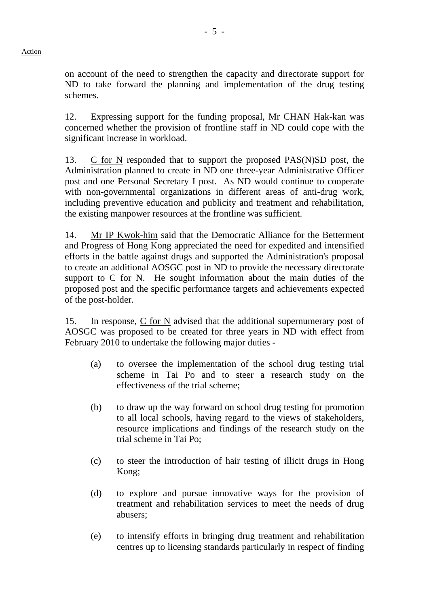on account of the need to strengthen the capacity and directorate support for ND to take forward the planning and implementation of the drug testing schemes.

12. Expressing support for the funding proposal, Mr CHAN Hak-kan was concerned whether the provision of frontline staff in ND could cope with the significant increase in workload.

13. C for N responded that to support the proposed PAS(N)SD post, the Administration planned to create in ND one three-year Administrative Officer post and one Personal Secretary I post. As ND would continue to cooperate with non-governmental organizations in different areas of anti-drug work, including preventive education and publicity and treatment and rehabilitation, the existing manpower resources at the frontline was sufficient.

14. Mr IP Kwok-him said that the Democratic Alliance for the Betterment and Progress of Hong Kong appreciated the need for expedited and intensified efforts in the battle against drugs and supported the Administration's proposal to create an additional AOSGC post in ND to provide the necessary directorate support to C for N. He sought information about the main duties of the proposed post and the specific performance targets and achievements expected of the post-holder.

15. In response,  $C$  for  $N$  advised that the additional supernumerary post of AOSGC was proposed to be created for three years in ND with effect from February 2010 to undertake the following major duties -

- (a) to oversee the implementation of the school drug testing trial scheme in Tai Po and to steer a research study on the effectiveness of the trial scheme;
- (b) to draw up the way forward on school drug testing for promotion to all local schools, having regard to the views of stakeholders, resource implications and findings of the research study on the trial scheme in Tai Po;
- (c) to steer the introduction of hair testing of illicit drugs in Hong Kong;
- (d) to explore and pursue innovative ways for the provision of treatment and rehabilitation services to meet the needs of drug abusers;
- (e) to intensify efforts in bringing drug treatment and rehabilitation centres up to licensing standards particularly in respect of finding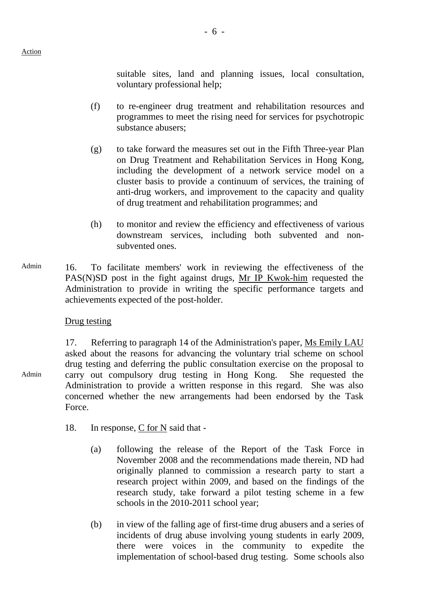suitable sites, land and planning issues, local consultation, voluntary professional help;

- (f) to re-engineer drug treatment and rehabilitation resources and programmes to meet the rising need for services for psychotropic substance abusers;
- (g) to take forward the measures set out in the Fifth Three-year Plan on Drug Treatment and Rehabilitation Services in Hong Kong, including the development of a network service model on a cluster basis to provide a continuum of services, the training of anti-drug workers, and improvement to the capacity and quality of drug treatment and rehabilitation programmes; and
- (h) to monitor and review the efficiency and effectiveness of various downstream services, including both subvented and nonsubvented ones.
- Admin 16. To facilitate members' work in reviewing the effectiveness of the PAS(N)SD post in the fight against drugs, Mr IP Kwok-him requested the Administration to provide in writing the specific performance targets and achievements expected of the post-holder.

#### Drug testing

17. Referring to paragraph 14 of the Administration's paper, Ms Emily LAU asked about the reasons for advancing the voluntary trial scheme on school drug testing and deferring the public consultation exercise on the proposal to carry out compulsory drug testing in Hong Kong. She requested the Administration to provide a written response in this regard. She was also concerned whether the new arrangements had been endorsed by the Task Force.

- 18. In response, C for N said that
	- (a) following the release of the Report of the Task Force in November 2008 and the recommendations made therein, ND had originally planned to commission a research party to start a research project within 2009, and based on the findings of the research study, take forward a pilot testing scheme in a few schools in the 2010-2011 school year;
	- (b) in view of the falling age of first-time drug abusers and a series of incidents of drug abuse involving young students in early 2009, there were voices in the community to expedite the implementation of school-based drug testing. Some schools also

Admin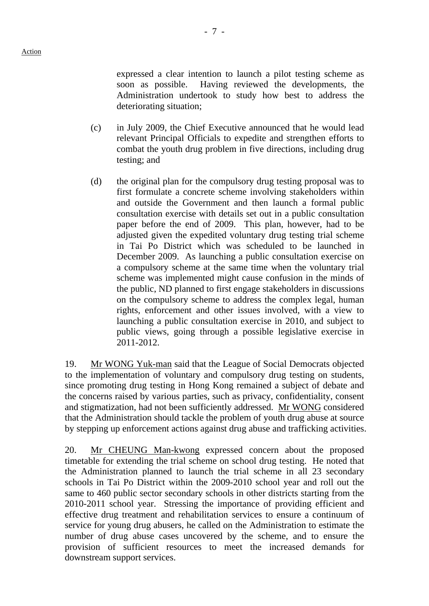expressed a clear intention to launch a pilot testing scheme as soon as possible. Having reviewed the developments, the Administration undertook to study how best to address the deteriorating situation;

- (c) in July 2009, the Chief Executive announced that he would lead relevant Principal Officials to expedite and strengthen efforts to combat the youth drug problem in five directions, including drug testing; and
- (d) the original plan for the compulsory drug testing proposal was to first formulate a concrete scheme involving stakeholders within and outside the Government and then launch a formal public consultation exercise with details set out in a public consultation paper before the end of 2009. This plan, however, had to be adjusted given the expedited voluntary drug testing trial scheme in Tai Po District which was scheduled to be launched in December 2009. As launching a public consultation exercise on a compulsory scheme at the same time when the voluntary trial scheme was implemented might cause confusion in the minds of the public, ND planned to first engage stakeholders in discussions on the compulsory scheme to address the complex legal, human rights, enforcement and other issues involved, with a view to launching a public consultation exercise in 2010, and subject to public views, going through a possible legislative exercise in 2011-2012.

19. Mr WONG Yuk-man said that the League of Social Democrats objected to the implementation of voluntary and compulsory drug testing on students, since promoting drug testing in Hong Kong remained a subject of debate and the concerns raised by various parties, such as privacy, confidentiality, consent and stigmatization, had not been sufficiently addressed. Mr WONG considered that the Administration should tackle the problem of youth drug abuse at source by stepping up enforcement actions against drug abuse and trafficking activities.

20. Mr CHEUNG Man-kwong expressed concern about the proposed timetable for extending the trial scheme on school drug testing. He noted that the Administration planned to launch the trial scheme in all 23 secondary schools in Tai Po District within the 2009-2010 school year and roll out the same to 460 public sector secondary schools in other districts starting from the 2010-2011 school year. Stressing the importance of providing efficient and effective drug treatment and rehabilitation services to ensure a continuum of service for young drug abusers, he called on the Administration to estimate the number of drug abuse cases uncovered by the scheme, and to ensure the provision of sufficient resources to meet the increased demands for downstream support services.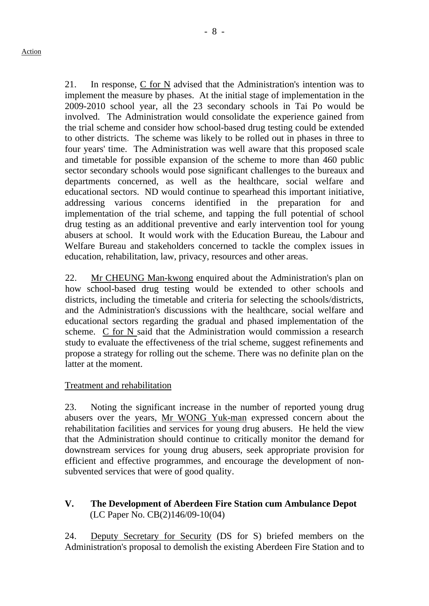21. In response, C for N advised that the Administration's intention was to implement the measure by phases. At the initial stage of implementation in the 2009-2010 school year, all the 23 secondary schools in Tai Po would be involved. The Administration would consolidate the experience gained from the trial scheme and consider how school-based drug testing could be extended to other districts. The scheme was likely to be rolled out in phases in three to four years' time. The Administration was well aware that this proposed scale and timetable for possible expansion of the scheme to more than 460 public sector secondary schools would pose significant challenges to the bureaux and departments concerned, as well as the healthcare, social welfare and educational sectors. ND would continue to spearhead this important initiative, addressing various concerns identified in the preparation for and implementation of the trial scheme, and tapping the full potential of school drug testing as an additional preventive and early intervention tool for young abusers at school. It would work with the Education Bureau, the Labour and Welfare Bureau and stakeholders concerned to tackle the complex issues in education, rehabilitation, law, privacy, resources and other areas.

22. Mr CHEUNG Man-kwong enquired about the Administration's plan on how school-based drug testing would be extended to other schools and districts, including the timetable and criteria for selecting the schools/districts, and the Administration's discussions with the healthcare, social welfare and educational sectors regarding the gradual and phased implementation of the scheme. C for N said that the Administration would commission a research study to evaluate the effectiveness of the trial scheme, suggest refinements and propose a strategy for rolling out the scheme. There was no definite plan on the latter at the moment.

## Treatment and rehabilitation

23. Noting the significant increase in the number of reported young drug abusers over the years, Mr WONG Yuk-man expressed concern about the rehabilitation facilities and services for young drug abusers. He held the view that the Administration should continue to critically monitor the demand for downstream services for young drug abusers, seek appropriate provision for efficient and effective programmes, and encourage the development of nonsubvented services that were of good quality.

# **V. The Development of Aberdeen Fire Station cum Ambulance Depot**  (LC Paper No. CB(2)146/09-10(04)

24. Deputy Secretary for Security (DS for S) briefed members on the Administration's proposal to demolish the existing Aberdeen Fire Station and to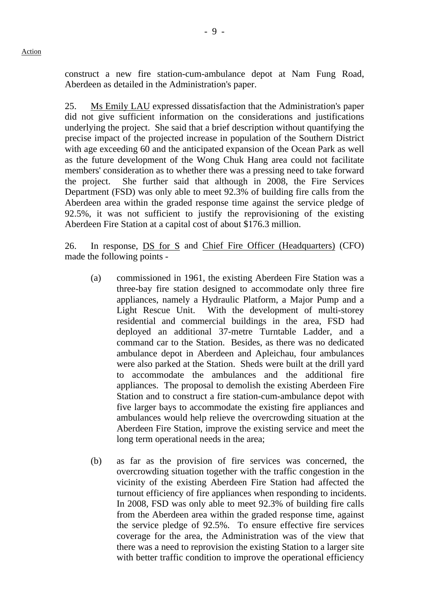construct a new fire station-cum-ambulance depot at Nam Fung Road, Aberdeen as detailed in the Administration's paper.

25. Ms Emily LAU expressed dissatisfaction that the Administration's paper did not give sufficient information on the considerations and justifications underlying the project. She said that a brief description without quantifying the precise impact of the projected increase in population of the Southern District with age exceeding 60 and the anticipated expansion of the Ocean Park as well as the future development of the Wong Chuk Hang area could not facilitate members' consideration as to whether there was a pressing need to take forward the project. She further said that although in 2008, the Fire Services Department (FSD) was only able to meet 92.3% of building fire calls from the Aberdeen area within the graded response time against the service pledge of 92.5%, it was not sufficient to justify the reprovisioning of the existing Aberdeen Fire Station at a capital cost of about \$176.3 million.

26. In response, DS for S and Chief Fire Officer (Headquarters) (CFO) made the following points -

- (a) commissioned in 1961, the existing Aberdeen Fire Station was a three-bay fire station designed to accommodate only three fire appliances, namely a Hydraulic Platform, a Major Pump and a Light Rescue Unit. With the development of multi-storey residential and commercial buildings in the area, FSD had deployed an additional 37-metre Turntable Ladder, and a command car to the Station. Besides, as there was no dedicated ambulance depot in Aberdeen and Apleichau, four ambulances were also parked at the Station. Sheds were built at the drill yard to accommodate the ambulances and the additional fire appliances. The proposal to demolish the existing Aberdeen Fire Station and to construct a fire station-cum-ambulance depot with five larger bays to accommodate the existing fire appliances and ambulances would help relieve the overcrowding situation at the Aberdeen Fire Station, improve the existing service and meet the long term operational needs in the area;
- (b) as far as the provision of fire services was concerned, the overcrowding situation together with the traffic congestion in the vicinity of the existing Aberdeen Fire Station had affected the turnout efficiency of fire appliances when responding to incidents. In 2008, FSD was only able to meet 92.3% of building fire calls from the Aberdeen area within the graded response time, against the service pledge of 92.5%. To ensure effective fire services coverage for the area, the Administration was of the view that there was a need to reprovision the existing Station to a larger site with better traffic condition to improve the operational efficiency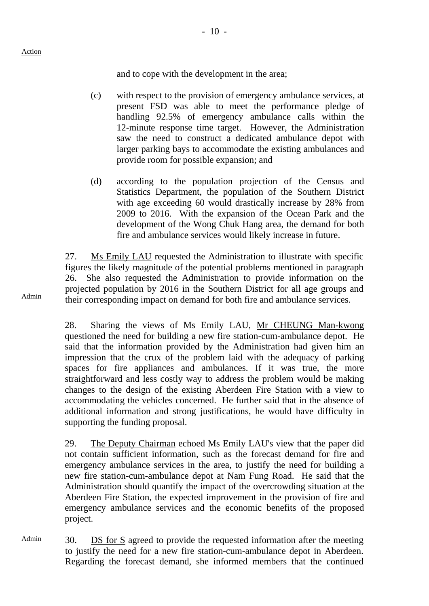and to cope with the development in the area;

- (c) with respect to the provision of emergency ambulance services, at present FSD was able to meet the performance pledge of handling 92.5% of emergency ambulance calls within the 12-minute response time target. However, the Administration saw the need to construct a dedicated ambulance depot with larger parking bays to accommodate the existing ambulances and provide room for possible expansion; and
- (d) according to the population projection of the Census and Statistics Department, the population of the Southern District with age exceeding 60 would drastically increase by 28% from 2009 to 2016. With the expansion of the Ocean Park and the development of the Wong Chuk Hang area, the demand for both fire and ambulance services would likely increase in future.

27. Ms Emily LAU requested the Administration to illustrate with specific figures the likely magnitude of the potential problems mentioned in paragraph 26. She also requested the Administration to provide information on the projected population by 2016 in the Southern District for all age groups and their corresponding impact on demand for both fire and ambulance services.

28. Sharing the views of Ms Emily LAU, Mr CHEUNG Man-kwong questioned the need for building a new fire station-cum-ambulance depot. He said that the information provided by the Administration had given him an impression that the crux of the problem laid with the adequacy of parking spaces for fire appliances and ambulances. If it was true, the more straightforward and less costly way to address the problem would be making changes to the design of the existing Aberdeen Fire Station with a view to accommodating the vehicles concerned. He further said that in the absence of additional information and strong justifications, he would have difficulty in supporting the funding proposal.

29. The Deputy Chairman echoed Ms Emily LAU's view that the paper did not contain sufficient information, such as the forecast demand for fire and emergency ambulance services in the area, to justify the need for building a new fire station-cum-ambulance depot at Nam Fung Road. He said that the Administration should quantify the impact of the overcrowding situation at the Aberdeen Fire Station, the expected improvement in the provision of fire and emergency ambulance services and the economic benefits of the proposed project.

Admin 30. DS for S agreed to provide the requested information after the meeting to justify the need for a new fire station-cum-ambulance depot in Aberdeen. Regarding the forecast demand, she informed members that the continued

Action

Admin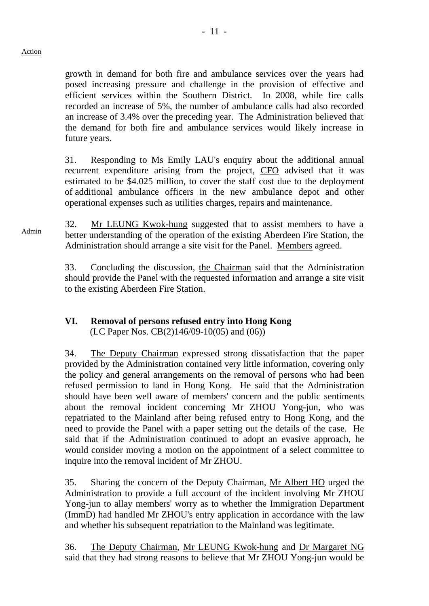growth in demand for both fire and ambulance services over the years had posed increasing pressure and challenge in the provision of effective and efficient services within the Southern District. In 2008, while fire calls recorded an increase of 5%, the number of ambulance calls had also recorded an increase of 3.4% over the preceding year. The Administration believed that the demand for both fire and ambulance services would likely increase in future years.

31. Responding to Ms Emily LAU's enquiry about the additional annual recurrent expenditure arising from the project, CFO advised that it was estimated to be \$4.025 million, to cover the staff cost due to the deployment of additional ambulance officers in the new ambulance depot and other operational expenses such as utilities charges, repairs and maintenance.

Admin 32. Mr LEUNG Kwok-hung suggested that to assist members to have a better understanding of the operation of the existing Aberdeen Fire Station, the Administration should arrange a site visit for the Panel. Members agreed.

> 33. Concluding the discussion, the Chairman said that the Administration should provide the Panel with the requested information and arrange a site visit to the existing Aberdeen Fire Station.

## **VI. Removal of persons refused entry into Hong Kong**  (LC Paper Nos. CB(2)146/09-10(05) and (06))

34. The Deputy Chairman expressed strong dissatisfaction that the paper provided by the Administration contained very little information, covering only the policy and general arrangements on the removal of persons who had been refused permission to land in Hong Kong. He said that the Administration should have been well aware of members' concern and the public sentiments about the removal incident concerning Mr ZHOU Yong-jun, who was repatriated to the Mainland after being refused entry to Hong Kong, and the need to provide the Panel with a paper setting out the details of the case. He said that if the Administration continued to adopt an evasive approach, he would consider moving a motion on the appointment of a select committee to inquire into the removal incident of Mr ZHOU.

35. Sharing the concern of the Deputy Chairman, Mr Albert HO urged the Administration to provide a full account of the incident involving Mr ZHOU Yong-jun to allay members' worry as to whether the Immigration Department (ImmD) had handled Mr ZHOU's entry application in accordance with the law and whether his subsequent repatriation to the Mainland was legitimate.

36. The Deputy Chairman, Mr LEUNG Kwok-hung and Dr Margaret NG said that they had strong reasons to believe that Mr ZHOU Yong-jun would be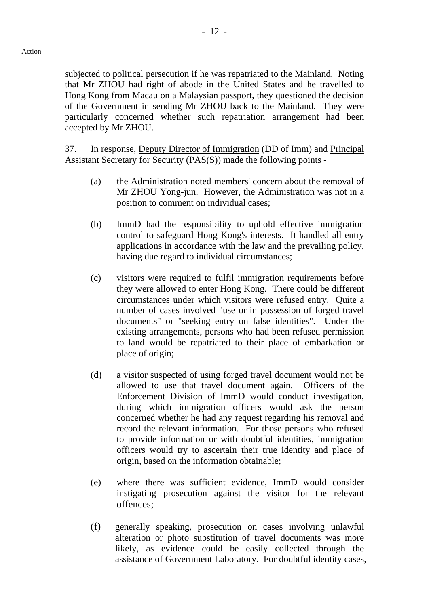subjected to political persecution if he was repatriated to the Mainland. Noting that Mr ZHOU had right of abode in the United States and he travelled to Hong Kong from Macau on a Malaysian passport, they questioned the decision of the Government in sending Mr ZHOU back to the Mainland. They were particularly concerned whether such repatriation arrangement had been accepted by Mr ZHOU.

37. In response, Deputy Director of Immigration (DD of Imm) and Principal Assistant Secretary for Security (PAS(S)) made the following points -

- (a) the Administration noted members' concern about the removal of Mr ZHOU Yong-jun. However, the Administration was not in a position to comment on individual cases;
- (b) ImmD had the responsibility to uphold effective immigration control to safeguard Hong Kong's interests. It handled all entry applications in accordance with the law and the prevailing policy, having due regard to individual circumstances;
- (c) visitors were required to fulfil immigration requirements before they were allowed to enter Hong Kong. There could be different circumstances under which visitors were refused entry. Quite a number of cases involved "use or in possession of forged travel documents" or "seeking entry on false identities". Under the existing arrangements, persons who had been refused permission to land would be repatriated to their place of embarkation or place of origin;
- (d) a visitor suspected of using forged travel document would not be allowed to use that travel document again. Officers of the Enforcement Division of ImmD would conduct investigation, during which immigration officers would ask the person concerned whether he had any request regarding his removal and record the relevant information. For those persons who refused to provide information or with doubtful identities, immigration officers would try to ascertain their true identity and place of origin, based on the information obtainable;
- (e) where there was sufficient evidence, ImmD would consider instigating prosecution against the visitor for the relevant offences;
- (f) generally speaking, prosecution on cases involving unlawful alteration or photo substitution of travel documents was more likely, as evidence could be easily collected through the assistance of Government Laboratory. For doubtful identity cases,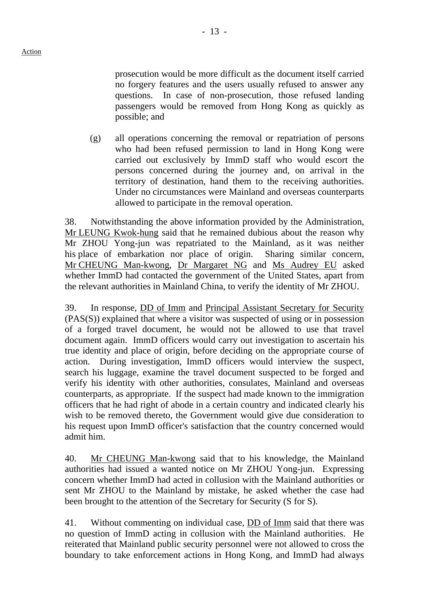prosecution would be more difficult as the document itself carried no forgery features and the users usually refused to answer any questions. In case of non-prosecution, those refused landing passengers would be removed from Hong Kong as quickly as possible; and

(g) all operations concerning the removal or repatriation of persons who had been refused permission to land in Hong Kong were carried out exclusively by ImmD staff who would escort the persons concerned during the journey and, on arrival in the territory of destination, hand them to the receiving authorities. Under no circumstances were Mainland and overseas counterparts allowed to participate in the removal operation.

38. Notwithstanding the above information provided by the Administration, Mr LEUNG Kwok-hung said that he remained dubious about the reason why Mr ZHOU Yong-jun was repatriated to the Mainland, as it was neither his place of embarkation nor place of origin. Sharing similar concern, Mr CHEUNG Man-kwong, Dr Margaret NG and Ms Audrey EU asked whether ImmD had contacted the government of the United States, apart from the relevant authorities in Mainland China, to verify the identity of Mr ZHOU.

39. In response, DD of Imm and Principal Assistant Secretary for Security (PAS(S)) explained that where a visitor was suspected of using or in possession of a forged travel document, he would not be allowed to use that travel document again. ImmD officers would carry out investigation to ascertain his true identity and place of origin, before deciding on the appropriate course of action. During investigation, ImmD officers would interview the suspect, search his luggage, examine the travel document suspected to be forged and verify his identity with other authorities, consulates, Mainland and overseas counterparts, as appropriate. If the suspect had made known to the immigration officers that he had right of abode in a certain country and indicated clearly his wish to be removed thereto, the Government would give due consideration to his request upon ImmD officer's satisfaction that the country concerned would admit him.

40. Mr CHEUNG Man-kwong said that to his knowledge, the Mainland authorities had issued a wanted notice on Mr ZHOU Yong-jun. Expressing concern whether ImmD had acted in collusion with the Mainland authorities or sent Mr ZHOU to the Mainland by mistake, he asked whether the case had been brought to the attention of the Secretary for Security (S for S).

41. Without commenting on individual case, DD of Imm said that there was no question of ImmD acting in collusion with the Mainland authorities. He reiterated that Mainland public security personnel were not allowed to cross the boundary to take enforcement actions in Hong Kong, and ImmD had always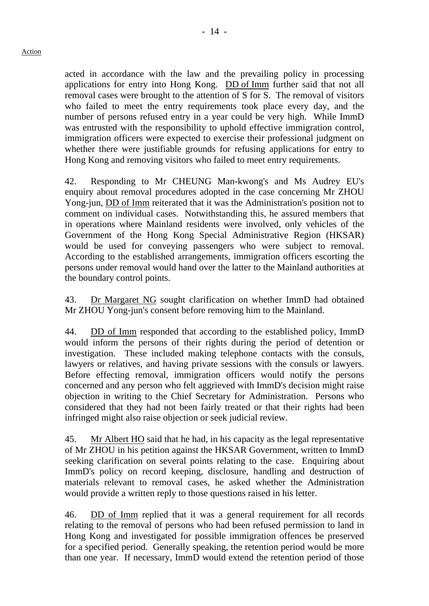acted in accordance with the law and the prevailing policy in processing applications for entry into Hong Kong. DD of Imm further said that not all removal cases were brought to the attention of S for S. The removal of visitors who failed to meet the entry requirements took place every day, and the number of persons refused entry in a year could be very high. While ImmD was entrusted with the responsibility to uphold effective immigration control, immigration officers were expected to exercise their professional judgment on whether there were justifiable grounds for refusing applications for entry to Hong Kong and removing visitors who failed to meet entry requirements.

42. Responding to Mr CHEUNG Man-kwong's and Ms Audrey EU's enquiry about removal procedures adopted in the case concerning Mr ZHOU Yong-jun, DD of Imm reiterated that it was the Administration's position not to comment on individual cases. Notwithstanding this, he assured members that in operations where Mainland residents were involved, only vehicles of the Government of the Hong Kong Special Administrative Region (HKSAR) would be used for conveying passengers who were subject to removal. According to the established arrangements, immigration officers escorting the persons under removal would hand over the latter to the Mainland authorities at the boundary control points.

43. Dr Margaret NG sought clarification on whether ImmD had obtained Mr ZHOU Yong-jun's consent before removing him to the Mainland.

44. DD of Imm responded that according to the established policy, ImmD would inform the persons of their rights during the period of detention or investigation. These included making telephone contacts with the consuls, lawyers or relatives, and having private sessions with the consuls or lawyers. Before effecting removal, immigration officers would notify the persons concerned and any person who felt aggrieved with ImmD's decision might raise objection in writing to the Chief Secretary for Administration. Persons who considered that they had not been fairly treated or that their rights had been infringed might also raise objection or seek judicial review.

45. Mr Albert HO said that he had, in his capacity as the legal representative of Mr ZHOU in his petition against the HKSAR Government, written to ImmD seeking clarification on several points relating to the case. Enquiring about ImmD's policy on record keeping, disclosure, handling and destruction of materials relevant to removal cases, he asked whether the Administration would provide a written reply to those questions raised in his letter.

46. DD of Imm replied that it was a general requirement for all records relating to the removal of persons who had been refused permission to land in Hong Kong and investigated for possible immigration offences be preserved for a specified period. Generally speaking, the retention period would be more than one year. If necessary, ImmD would extend the retention period of those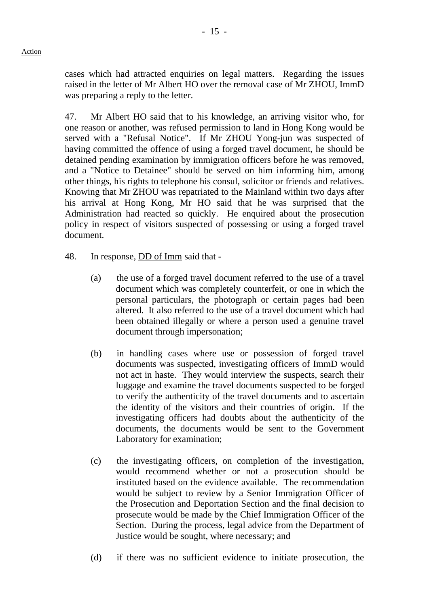cases which had attracted enquiries on legal matters. Regarding the issues raised in the letter of Mr Albert HO over the removal case of Mr ZHOU, ImmD was preparing a reply to the letter.

47. Mr Albert HO said that to his knowledge, an arriving visitor who, for one reason or another, was refused permission to land in Hong Kong would be served with a "Refusal Notice". If Mr ZHOU Yong-jun was suspected of having committed the offence of using a forged travel document, he should be detained pending examination by immigration officers before he was removed, and a "Notice to Detainee" should be served on him informing him, among other things, his rights to telephone his consul, solicitor or friends and relatives. Knowing that Mr ZHOU was repatriated to the Mainland within two days after his arrival at Hong Kong, Mr HO said that he was surprised that the Administration had reacted so quickly. He enquired about the prosecution policy in respect of visitors suspected of possessing or using a forged travel document.

- 48. In response, DD of Imm said that
	- (a) the use of a forged travel document referred to the use of a travel document which was completely counterfeit, or one in which the personal particulars, the photograph or certain pages had been altered. It also referred to the use of a travel document which had been obtained illegally or where a person used a genuine travel document through impersonation;
	- (b) in handling cases where use or possession of forged travel documents was suspected, investigating officers of ImmD would not act in haste. They would interview the suspects, search their luggage and examine the travel documents suspected to be forged to verify the authenticity of the travel documents and to ascertain the identity of the visitors and their countries of origin. If the investigating officers had doubts about the authenticity of the documents, the documents would be sent to the Government Laboratory for examination;
	- (c) the investigating officers, on completion of the investigation, would recommend whether or not a prosecution should be instituted based on the evidence available. The recommendation would be subject to review by a Senior Immigration Officer of the Prosecution and Deportation Section and the final decision to prosecute would be made by the Chief Immigration Officer of the Section. During the process, legal advice from the Department of Justice would be sought, where necessary; and
	- (d) if there was no sufficient evidence to initiate prosecution, the